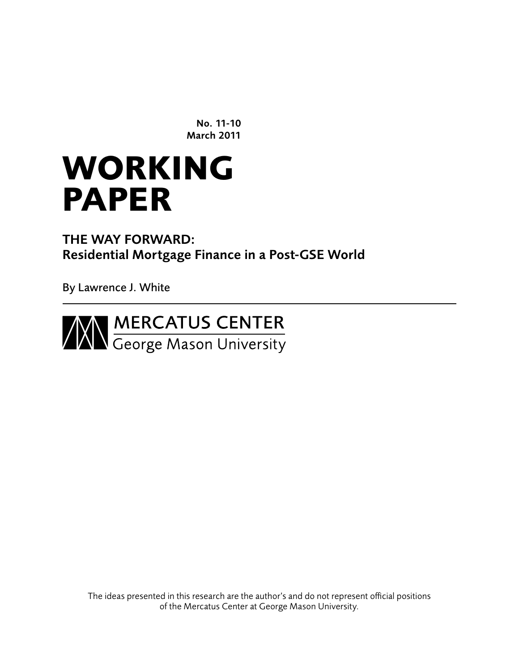No. 11-10 March 2011

# **working paper**

The Way Forward: Residential Mortgage Finance in a Post-GSE World

By Lawrence J. White



The ideas presented in this research are the author's and do not represent official positions of the Mercatus Center at George Mason University.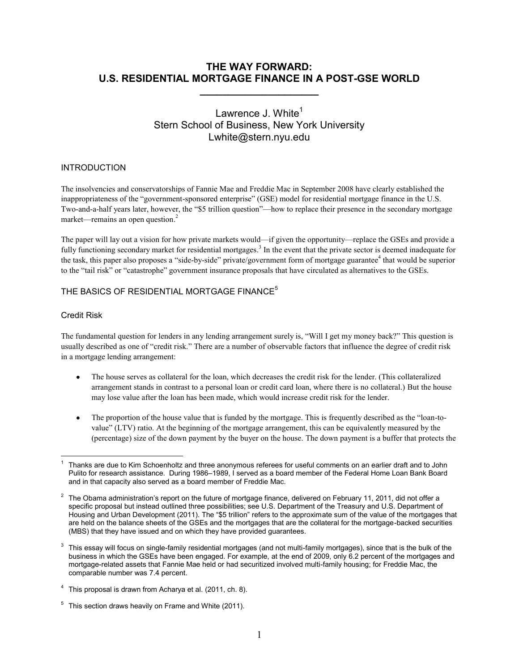# **THE WAY FORWARD: U.S. RESIDENTIAL MORTGAGE FINANCE IN A POST-GSE WORLD**

**\_\_\_\_\_\_\_\_\_\_\_\_\_\_\_\_\_\_\_\_\_**

# Lawrence J. White $<sup>1</sup>$ </sup> Stern School of Business, New York University Lwhite@stern.nyu.edu

# INTRODUCTION

The insolvencies and conservatorships of Fannie Mae and Freddie Mac in September 2008 have clearly established the inappropriateness of the "government-sponsored enterprise" (GSE) model for residential mortgage finance in the U.S. Two-and-a-half years later, however, the "\$5 trillion question"—how to replace their presence in the secondary mortgage market—remains an open question.<sup>2</sup>

The paper will lay out a vision for how private markets would—if given the opportunity—replace the GSEs and provide a fully functioning secondary market for residential mortgages.<sup>3</sup> In the event that the private sector is deemed inadequate for the task, this paper also proposes a "side-by-side" private/government form of mortgage guarantee<sup>4</sup> that would be superior to the "tail risk" or "catastrophe" government insurance proposals that have circulated as alternatives to the GSEs.

# THE BASICS OF RESIDENTIAL MORTGAGE FINANCE<sup>5</sup>

# Credit Risk

The fundamental question for lenders in any lending arrangement surely is, "Will I get my money back?" This question is usually described as one of "credit risk." There are a number of observable factors that influence the degree of credit risk in a mortgage lending arrangement:

- $\bullet$ The house serves as collateral for the loan, which decreases the credit risk for the lender. (This collateralized arrangement stands in contrast to a personal loan or credit card loan, where there is no collateral.) But the house may lose value after the loan has been made, which would increase credit risk for the lender.
- $\bullet$ The proportion of the house value that is funded by the mortgage. This is frequently described as the "loan-tovalue‖ (LTV) ratio. At the beginning of the mortgage arrangement, this can be equivalently measured by the (percentage) size of the down payment by the buyer on the house. The down payment is a buffer that protects the

 $5$  This section draws heavily on Frame and White (2011).

 $\overline{a}$ 1 Thanks are due to Kim Schoenholtz and three anonymous referees for useful comments on an earlier draft and to John Pulito for research assistance. During 1986–1989, I served as a board member of the Federal Home Loan Bank Board and in that capacity also served as a board member of Freddie Mac.

<sup>&</sup>lt;sup>2</sup> The Obama administration's report on the future of mortgage finance, delivered on February 11, 2011, did not offer a specific proposal but instead outlined three possibilities; see U.S. Department of the Treasury and U.S. Department of Housing and Urban Development (2011). The "\$5 trillion" refers to the approximate sum of the value of the mortgages that are held on the balance sheets of the GSEs and the mortgages that are the collateral for the mortgage-backed securities (MBS) that they have issued and on which they have provided guarantees.

<sup>3</sup> This essay will focus on single-family residential mortgages (and not multi-family mortgages), since that is the bulk of the business in which the GSEs have been engaged. For example, at the end of 2009, only 6.2 percent of the mortgages and mortgage-related assets that Fannie Mae held or had securitized involved multi-family housing; for Freddie Mac, the comparable number was 7.4 percent.

 $4$  This proposal is drawn from Acharya et al. (2011, ch. 8).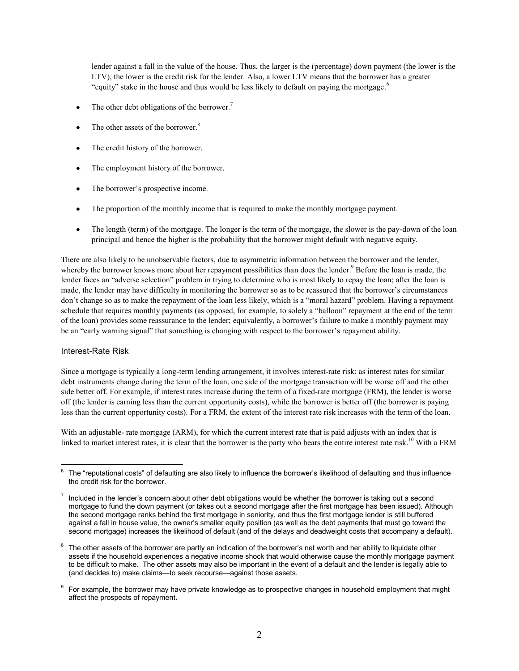lender against a fall in the value of the house. Thus, the larger is the (percentage) down payment (the lower is the LTV), the lower is the credit risk for the lender. Also, a lower LTV means that the borrower has a greater "equity" stake in the house and thus would be less likely to default on paying the mortgage.<sup>6</sup>

- The other debt obligations of the borrower.<sup>7</sup>
- The other assets of the borrower.<sup>8</sup>
- $\bullet$ The credit history of the borrower.
- The employment history of the borrower.  $\bullet$
- The borrower's prospective income.
- The proportion of the monthly income that is required to make the monthly mortgage payment.
- The length (term) of the mortgage. The longer is the term of the mortgage, the slower is the pay-down of the loan  $\bullet$ principal and hence the higher is the probability that the borrower might default with negative equity.

There are also likely to be unobservable factors, due to asymmetric information between the borrower and the lender, whereby the borrower knows more about her repayment possibilities than does the lender.<sup>9</sup> Before the loan is made, the lender faces an "adverse selection" problem in trying to determine who is most likely to repay the loan; after the loan is made, the lender may have difficulty in monitoring the borrower so as to be reassured that the borrower's circumstances don't change so as to make the repayment of the loan less likely, which is a "moral hazard" problem. Having a repayment schedule that requires monthly payments (as opposed, for example, to solely a "balloon" repayment at the end of the term of the loan) provides some reassurance to the lender; equivalently, a borrower's failure to make a monthly payment may be an "early warning signal" that something is changing with respect to the borrower's repayment ability.

## Interest-Rate Risk

Since a mortgage is typically a long-term lending arrangement, it involves interest-rate risk: as interest rates for similar debt instruments change during the term of the loan, one side of the mortgage transaction will be worse off and the other side better off. For example, if interest rates increase during the term of a fixed-rate mortgage (FRM), the lender is worse off (the lender is earning less than the current opportunity costs), while the borrower is better off (the borrower is paying less than the current opportunity costs). For a FRM, the extent of the interest rate risk increases with the term of the loan.

With an adjustable- rate mortgage (ARM), for which the current interest rate that is paid adjusts with an index that is linked to market interest rates, it is clear that the borrower is the party who bears the entire interest rate risk.<sup>10</sup> With a FRM

 $\overline{a}$ 6 The "reputational costs" of defaulting are also likely to influence the borrower's likelihood of defaulting and thus influence the credit risk for the borrower.

 $7$  Included in the lender's concern about other debt obligations would be whether the borrower is taking out a second mortgage to fund the down payment (or takes out a second mortgage after the first mortgage has been issued). Although the second mortgage ranks behind the first mortgage in seniority, and thus the first mortgage lender is still buffered against a fall in house value, the owner's smaller equity position (as well as the debt payments that must go toward the second mortgage) increases the likelihood of default (and of the delays and deadweight costs that accompany a default).

<sup>8</sup> The other assets of the borrower are partly an indication of the borrower's net worth and her ability to liquidate other assets if the household experiences a negative income shock that would otherwise cause the monthly mortgage payment to be difficult to make. The other assets may also be important in the event of a default and the lender is legally able to (and decides to) make claims—to seek recourse—against those assets.

<sup>&</sup>lt;sup>9</sup> For example, the borrower may have private knowledge as to prospective changes in household employment that might affect the prospects of repayment.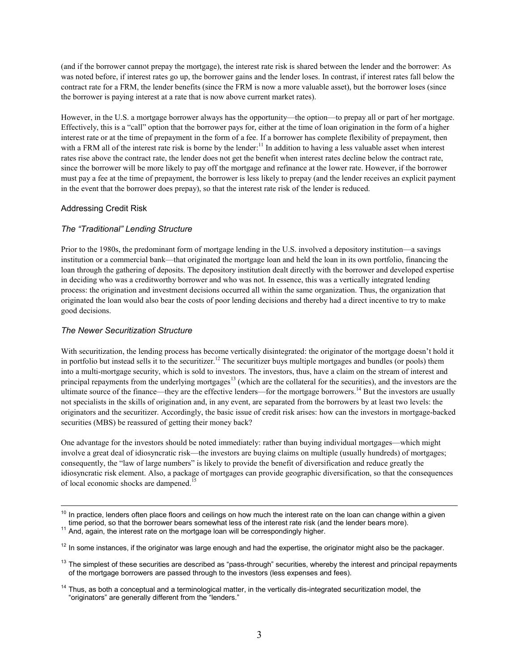(and if the borrower cannot prepay the mortgage), the interest rate risk is shared between the lender and the borrower: As was noted before, if interest rates go up, the borrower gains and the lender loses. In contrast, if interest rates fall below the contract rate for a FRM, the lender benefits (since the FRM is now a more valuable asset), but the borrower loses (since the borrower is paying interest at a rate that is now above current market rates).

However, in the U.S. a mortgage borrower always has the opportunity—the option—to prepay all or part of her mortgage. Effectively, this is a "call" option that the borrower pays for, either at the time of loan origination in the form of a higher interest rate or at the time of prepayment in the form of a fee. If a borrower has complete flexibility of prepayment, then with a FRM all of the interest rate risk is borne by the lender:<sup>11</sup> In addition to having a less valuable asset when interest rates rise above the contract rate, the lender does not get the benefit when interest rates decline below the contract rate, since the borrower will be more likely to pay off the mortgage and refinance at the lower rate. However, if the borrower must pay a fee at the time of prepayment, the borrower is less likely to prepay (and the lender receives an explicit payment in the event that the borrower does prepay), so that the interest rate risk of the lender is reduced.

## Addressing Credit Risk

## *The "Traditional" Lending Structure*

Prior to the 1980s, the predominant form of mortgage lending in the U.S. involved a depository institution—a savings institution or a commercial bank—that originated the mortgage loan and held the loan in its own portfolio, financing the loan through the gathering of deposits. The depository institution dealt directly with the borrower and developed expertise in deciding who was a creditworthy borrower and who was not. In essence, this was a vertically integrated lending process: the origination and investment decisions occurred all within the same organization. Thus, the organization that originated the loan would also bear the costs of poor lending decisions and thereby had a direct incentive to try to make good decisions.

## *The Newer Securitization Structure*

 $\overline{a}$ 

With securitization, the lending process has become vertically disintegrated: the originator of the mortgage doesn't hold it in portfolio but instead sells it to the securitizer.<sup>12</sup> The securitizer buys multiple mortgages and bundles (or pools) them into a multi-mortgage security, which is sold to investors. The investors, thus, have a claim on the stream of interest and principal repayments from the underlying mortgages<sup>13</sup> (which are the collateral for the securities), and the investors are the ultimate source of the finance—they are the effective lenders—for the mortgage borrowers.<sup>14</sup> But the investors are usually not specialists in the skills of origination and, in any event, are separated from the borrowers by at least two levels: the originators and the securitizer. Accordingly, the basic issue of credit risk arises: how can the investors in mortgage-backed securities (MBS) be reassured of getting their money back?

One advantage for the investors should be noted immediately: rather than buying individual mortgages—which might involve a great deal of idiosyncratic risk—the investors are buying claims on multiple (usually hundreds) of mortgages; consequently, the "law of large numbers" is likely to provide the benefit of diversification and reduce greatly the idiosyncratic risk element. Also, a package of mortgages can provide geographic diversification, so that the consequences of local economic shocks are dampened.<sup>15</sup>

 $10$  In practice, lenders often place floors and ceilings on how much the interest rate on the loan can change within a given time period, so that the borrower bears somewhat less of the interest rate risk (and the lender bears more).

<sup>&</sup>lt;sup>11</sup> And, again, the interest rate on the mortgage loan will be correspondingly higher.

 $12$  In some instances, if the originator was large enough and had the expertise, the originator might also be the packager.

 $13$  The simplest of these securities are described as "pass-through" securities, whereby the interest and principal repayments of the mortgage borrowers are passed through to the investors (less expenses and fees).

 $14$  Thus, as both a conceptual and a terminological matter, in the vertically dis-integrated securitization model, the "originators" are generally different from the "lenders."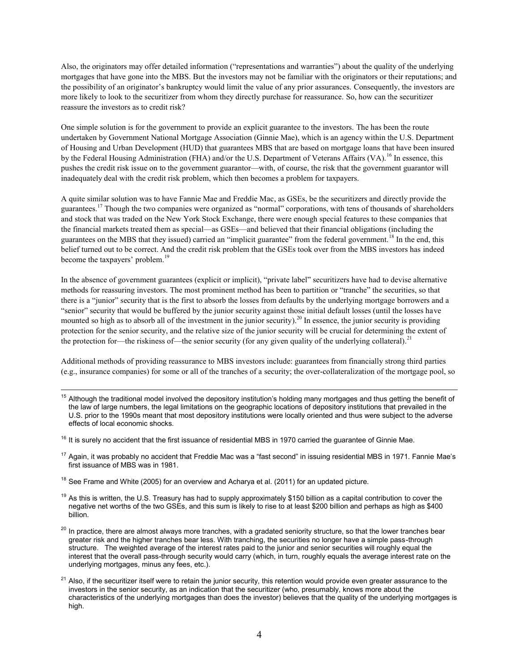Also, the originators may offer detailed information ("representations and warranties") about the quality of the underlying mortgages that have gone into the MBS. But the investors may not be familiar with the originators or their reputations; and the possibility of an originator's bankruptcy would limit the value of any prior assurances. Consequently, the investors are more likely to look to the securitizer from whom they directly purchase for reassurance. So, how can the securitizer reassure the investors as to credit risk?

One simple solution is for the government to provide an explicit guarantee to the investors. The has been the route undertaken by Government National Mortgage Association (Ginnie Mae), which is an agency within the U.S. Department of Housing and Urban Development (HUD) that guarantees MBS that are based on mortgage loans that have been insured by the Federal Housing Administration (FHA) and/or the U.S. Department of Veterans Affairs (VA).<sup>16</sup> In essence, this pushes the credit risk issue on to the government guarantor—with, of course, the risk that the government guarantor will inadequately deal with the credit risk problem, which then becomes a problem for taxpayers.

A quite similar solution was to have Fannie Mae and Freddie Mac, as GSEs, be the securitizers and directly provide the guarantees.<sup>17</sup> Though the two companies were organized as "normal" corporations, with tens of thousands of shareholders and stock that was traded on the New York Stock Exchange, there were enough special features to these companies that the financial markets treated them as special—as GSEs—and believed that their financial obligations (including the guarantees on the MBS that they issued) carried an "implicit guarantee" from the federal government.<sup>18</sup> In the end, this belief turned out to be correct. And the credit risk problem that the GSEs took over from the MBS investors has indeed become the taxpayers' problem.<sup>19</sup>

In the absence of government guarantees (explicit or implicit), "private label" securitizers have had to devise alternative methods for reassuring investors. The most prominent method has been to partition or "tranche" the securities, so that there is a "iunior" security that is the first to absorb the losses from defaults by the underlying mortgage borrowers and a ―senior‖ security that would be buffered by the junior security against those initial default losses (until the losses have mounted so high as to absorb all of the investment in the junior security).<sup>20</sup> In essence, the junior security is providing protection for the senior security, and the relative size of the junior security will be crucial for determining the extent of the protection for—the riskiness of—the senior security (for any given quality of the underlying collateral).<sup>21</sup>

Additional methods of providing reassurance to MBS investors include: guarantees from financially strong third parties (e.g., insurance companies) for some or all of the tranches of a security; the over-collateralization of the mortgage pool, so

- <sup>15</sup> Although the traditional model involved the depository institution's holding many mortgages and thus getting the benefit of the law of large numbers, the legal limitations on the geographic locations of depository institutions that prevailed in the U.S. prior to the 1990s meant that most depository institutions were locally oriented and thus were subject to the adverse effects of local economic shocks.
- $16$  It is surely no accident that the first issuance of residential MBS in 1970 carried the guarantee of Ginnie Mae.
- $17$  Again, it was probably no accident that Freddie Mac was a "fast second" in issuing residential MBS in 1971. Fannie Mae's first issuance of MBS was in 1981.
- $18$  See Frame and White (2005) for an overview and Acharya et al. (2011) for an updated picture.

 $\overline{a}$ 

- $19$  As this is written, the U.S. Treasury has had to supply approximately \$150 billion as a capital contribution to cover the negative net worths of the two GSEs, and this sum is likely to rise to at least \$200 billion and perhaps as high as \$400 billion.
- <sup>20</sup> In practice, there are almost always more tranches, with a gradated seniority structure, so that the lower tranches bear greater risk and the higher tranches bear less. With tranching, the securities no longer have a simple pass-through structure. The weighted average of the interest rates paid to the junior and senior securities will roughly equal the interest that the overall pass-through security would carry (which, in turn, roughly equals the average interest rate on the underlying mortgages, minus any fees, etc.).
- $21$  Also, if the securitizer itself were to retain the junior security, this retention would provide even greater assurance to the investors in the senior security, as an indication that the securitizer (who, presumably, knows more about the characteristics of the underlying mortgages than does the investor) believes that the quality of the underlying mortgages is high.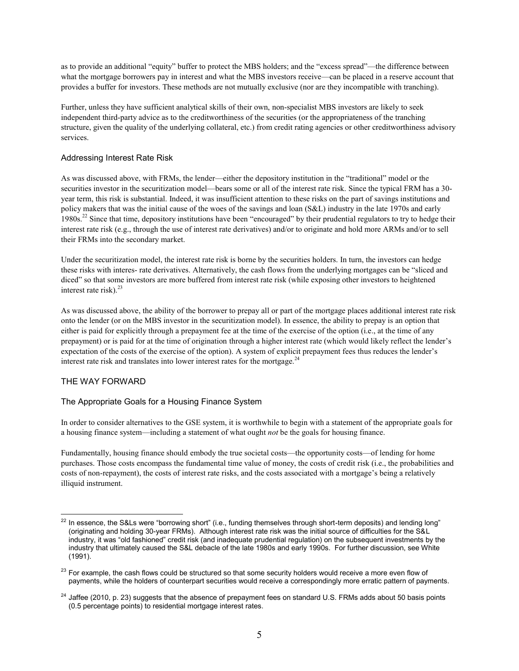as to provide an additional "equity" buffer to protect the MBS holders; and the "excess spread"—the difference between what the mortgage borrowers pay in interest and what the MBS investors receive—can be placed in a reserve account that provides a buffer for investors. These methods are not mutually exclusive (nor are they incompatible with tranching).

Further, unless they have sufficient analytical skills of their own, non-specialist MBS investors are likely to seek independent third-party advice as to the creditworthiness of the securities (or the appropriateness of the tranching structure, given the quality of the underlying collateral, etc.) from credit rating agencies or other creditworthiness advisory services.

## Addressing Interest Rate Risk

As was discussed above, with FRMs, the lender—either the depository institution in the "traditional" model or the securities investor in the securitization model—bears some or all of the interest rate risk. Since the typical FRM has a 30year term, this risk is substantial. Indeed, it was insufficient attention to these risks on the part of savings institutions and policy makers that was the initial cause of the woes of the savings and loan (S&L) industry in the late 1970s and early 1980s.<sup>22</sup> Since that time, depository institutions have been "encouraged" by their prudential regulators to try to hedge their interest rate risk (e.g., through the use of interest rate derivatives) and/or to originate and hold more ARMs and/or to sell their FRMs into the secondary market.

Under the securitization model, the interest rate risk is borne by the securities holders. In turn, the investors can hedge these risks with interes- rate derivatives. Alternatively, the cash flows from the underlying mortgages can be "sliced and diced" so that some investors are more buffered from interest rate risk (while exposing other investors to heightened interest rate risk). $^{23}$ 

As was discussed above, the ability of the borrower to prepay all or part of the mortgage places additional interest rate risk onto the lender (or on the MBS investor in the securitization model). In essence, the ability to prepay is an option that either is paid for explicitly through a prepayment fee at the time of the exercise of the option (i.e., at the time of any prepayment) or is paid for at the time of origination through a higher interest rate (which would likely reflect the lender's expectation of the costs of the exercise of the option). A system of explicit prepayment fees thus reduces the lender's interest rate risk and translates into lower interest rates for the mortgage.<sup>24</sup>

# THE WAY FORWARD

# The Appropriate Goals for a Housing Finance System

In order to consider alternatives to the GSE system, it is worthwhile to begin with a statement of the appropriate goals for a housing finance system—including a statement of what ought *not* be the goals for housing finance.

Fundamentally, housing finance should embody the true societal costs—the opportunity costs—of lending for home purchases. Those costs encompass the fundamental time value of money, the costs of credit risk (i.e., the probabilities and costs of non-repayment), the costs of interest rate risks, and the costs associated with a mortgage's being a relatively illiquid instrument.

 $\overline{a}$  $^{22}$  In essence, the S&Ls were "borrowing short" (i.e., funding themselves through short-term deposits) and lending long" (originating and holding 30-year FRMs). Although interest rate risk was the initial source of difficulties for the S&L industry, it was "old fashioned" credit risk (and inadequate prudential regulation) on the subsequent investments by the industry that ultimately caused the S&L debacle of the late 1980s and early 1990s. For further discussion, see White (1991).

 $23$  For example, the cash flows could be structured so that some security holders would receive a more even flow of payments, while the holders of counterpart securities would receive a correspondingly more erratic pattern of payments.

 $24$  Jaffee (2010, p. 23) suggests that the absence of prepayment fees on standard U.S. FRMs adds about 50 basis points (0.5 percentage points) to residential mortgage interest rates.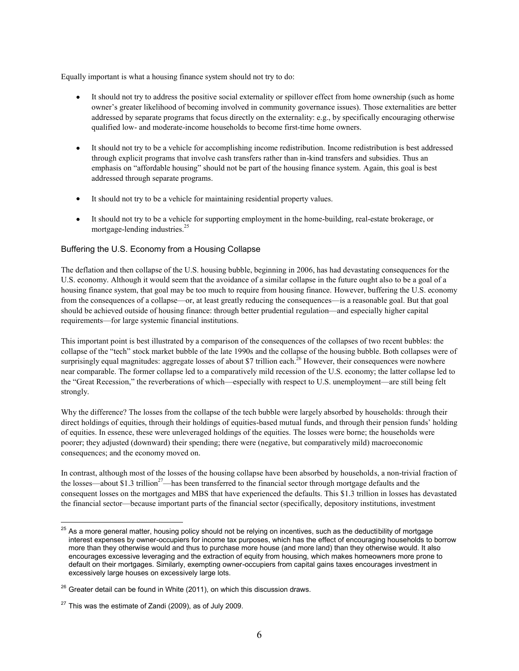Equally important is what a housing finance system should not try to do:

- It should not try to address the positive social externality or spillover effect from home ownership (such as home owner's greater likelihood of becoming involved in community governance issues). Those externalities are better addressed by separate programs that focus directly on the externality: e.g., by specifically encouraging otherwise qualified low- and moderate-income households to become first-time home owners.
- $\bullet$ It should not try to be a vehicle for accomplishing income redistribution. Income redistribution is best addressed through explicit programs that involve cash transfers rather than in-kind transfers and subsidies. Thus an emphasis on "affordable housing" should not be part of the housing finance system. Again, this goal is best addressed through separate programs.
- It should not try to be a vehicle for maintaining residential property values.
- It should not try to be a vehicle for supporting employment in the home-building, real-estate brokerage, or mortgage-lending industries.<sup>25</sup>

# Buffering the U.S. Economy from a Housing Collapse

The deflation and then collapse of the U.S. housing bubble, beginning in 2006, has had devastating consequences for the U.S. economy. Although it would seem that the avoidance of a similar collapse in the future ought also to be a goal of a housing finance system, that goal may be too much to require from housing finance. However, buffering the U.S. economy from the consequences of a collapse—or, at least greatly reducing the consequences—is a reasonable goal. But that goal should be achieved outside of housing finance: through better prudential regulation—and especially higher capital requirements—for large systemic financial institutions.

This important point is best illustrated by a comparison of the consequences of the collapses of two recent bubbles: the collapse of the "tech" stock market bubble of the late 1990s and the collapse of the housing bubble. Both collapses were of surprisingly equal magnitudes: aggregate losses of about \$7 trillion each.<sup>26</sup> However, their consequences were nowhere near comparable. The former collapse led to a comparatively mild recession of the U.S. economy; the latter collapse led to the "Great Recession," the reverberations of which—especially with respect to U.S. unemployment—are still being felt strongly.

Why the difference? The losses from the collapse of the tech bubble were largely absorbed by households: through their direct holdings of equities, through their holdings of equities-based mutual funds, and through their pension funds' holding of equities. In essence, these were unleveraged holdings of the equities. The losses were borne; the households were poorer; they adjusted (downward) their spending; there were (negative, but comparatively mild) macroeconomic consequences; and the economy moved on.

In contrast, although most of the losses of the housing collapse have been absorbed by households, a non-trivial fraction of the losses—about \$1.3 trillion<sup>27</sup>—has been transferred to the financial sector through mortgage defaults and the consequent losses on the mortgages and MBS that have experienced the defaults. This \$1.3 trillion in losses has devastated the financial sector—because important parts of the financial sector (specifically, depository institutions, investment

 $\overline{a}$  $^{25}$  As a more general matter, housing policy should not be relying on incentives, such as the deductibility of mortgage interest expenses by owner-occupiers for income tax purposes, which has the effect of encouraging households to borrow more than they otherwise would and thus to purchase more house (and more land) than they otherwise would. It also encourages excessive leveraging and the extraction of equity from housing, which makes homeowners more prone to default on their mortgages. Similarly, exempting owner-occupiers from capital gains taxes encourages investment in excessively large houses on excessively large lots.

 $26$  Greater detail can be found in White (2011), on which this discussion draws.

<sup>&</sup>lt;sup>27</sup> This was the estimate of Zandi (2009), as of July 2009.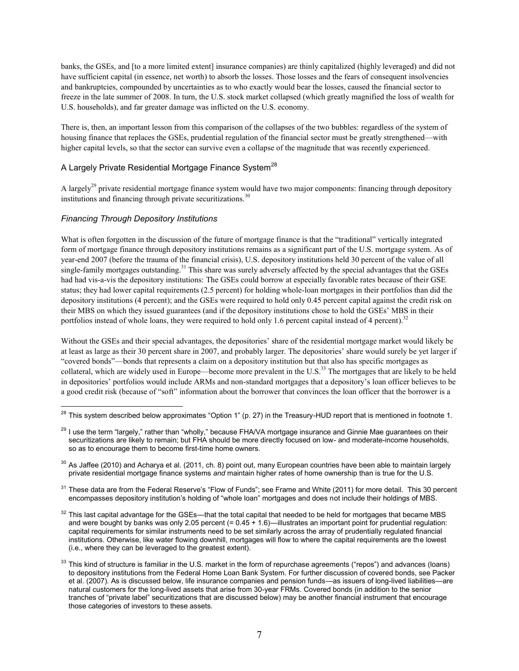banks, the GSEs, and [to a more limited extent] insurance companies) are thinly capitalized (highly leveraged) and did not have sufficient capital (in essence, net worth) to absorb the losses. Those losses and the fears of consequent insolvencies and bankruptcies, compounded by uncertainties as to who exactly would bear the losses, caused the financial sector to freeze in the late summer of 2008. In turn, the U.S. stock market collapsed (which greatly magnified the loss of wealth for U.S. households), and far greater damage was inflicted on the U.S. economy.

There is, then, an important lesson from this comparison of the collapses of the two bubbles: regardless of the system of housing finance that replaces the GSEs, prudential regulation of the financial sector must be greatly strengthened—with higher capital levels, so that the sector can survive even a collapse of the magnitude that was recently experienced.

# A Largely Private Residential Mortgage Finance System<sup>28</sup>

A largely<sup>29</sup> private residential mortgage finance system would have two major components: financing through depository institutions and financing through private securitizations. $30$ 

# *Financing Through Depository Institutions*

 $\overline{a}$ 

What is often forgotten in the discussion of the future of mortgage finance is that the "traditional" vertically integrated form of mortgage finance through depository institutions remains as a significant part of the U.S. mortgage system. As of year-end 2007 (before the trauma of the financial crisis), U.S. depository institutions held 30 percent of the value of all single-family mortgages outstanding.<sup>31</sup> This share was surely adversely affected by the special advantages that the GSEs had had vis-a-vis the depository institutions: The GSEs could borrow at especially favorable rates because of their GSE status; they had lower capital requirements (2.5 percent) for holding whole-loan mortgages in their portfolios than did the depository institutions (4 percent); and the GSEs were required to hold only 0.45 percent capital against the credit risk on their MBS on which they issued guarantees (and if the depository institutions chose to hold the GSEs' MBS in their portfolios instead of whole loans, they were required to hold only 1.6 percent capital instead of 4 percent).<sup>32</sup>

Without the GSEs and their special advantages, the depositories' share of the residential mortgage market would likely be at least as large as their 30 percent share in 2007, and probably larger. The depositories' share would surely be yet larger if ―covered bonds‖—bonds that represents a claim on a depository institution but that also has specific mortgages as collateral, which are widely used in Europe—become more prevalent in the U.S.<sup>33</sup> The mortgages that are likely to be held in depositories' portfolios would include ARMs and non-standard mortgages that a depository's loan officer believes to be a good credit risk (because of "soft" information about the borrower that convinces the loan officer that the borrower is a

<sup>&</sup>lt;sup>28</sup> This system described below approximates "Option 1" (p. 27) in the Treasury-HUD report that is mentioned in footnote 1.

<sup>&</sup>lt;sup>29</sup> I use the term "largely," rather than "wholly," because FHA/VA mortgage insurance and Ginnie Mae guarantees on their securitizations are likely to remain; but FHA should be more directly focused on low- and moderate-income households, so as to encourage them to become first-time home owners.

 $30$  As Jaffee (2010) and Acharya et al. (2011, ch. 8) point out, many European countries have been able to maintain largely private residential mortgage finance systems *and* maintain higher rates of home ownership than is true for the U.S.

 $31$  These data are from the Federal Reserve's "Flow of Funds"; see Frame and White (2011) for more detail. This 30 percent encompasses depository institution's holding of "whole loan" mortgages and does not include their holdings of MBS.

 $32$  This last capital advantage for the GSEs—that the total capital that needed to be held for mortgages that became MBS and were bought by banks was only 2.05 percent  $(= 0.45 + 1.6)$ —illustrates an important point for prudential regulation: capital requirements for similar instruments need to be set similarly across the array of prudentially regulated financial institutions. Otherwise, like water flowing downhill, mortgages will flow to where the capital requirements are the lowest (i.e., where they can be leveraged to the greatest extent).

 $33$  This kind of structure is familiar in the U.S. market in the form of repurchase agreements ("repos") and advances (loans) to depository institutions from the Federal Home Loan Bank System. For further discussion of covered bonds, see Packer et al. (2007). As is discussed below, life insurance companies and pension funds—as issuers of long-lived liabilities—are natural customers for the long-lived assets that arise from 30-year FRMs. Covered bonds (in addition to the senior tranches of "private label" securitizations that are discussed below) may be another financial instrument that encourage those categories of investors to these assets.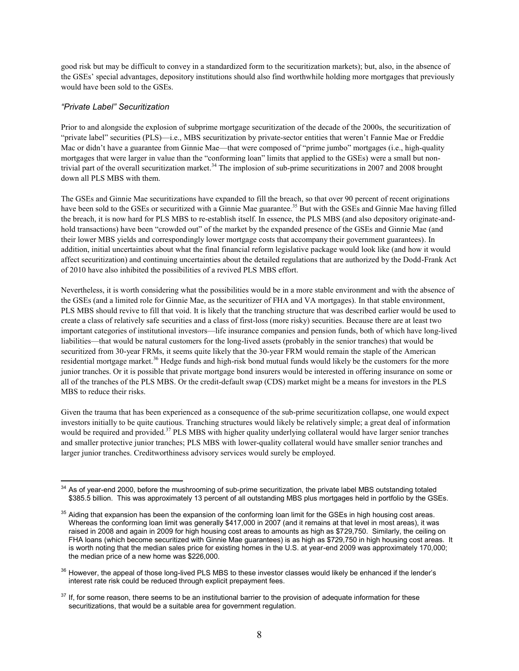good risk but may be difficult to convey in a standardized form to the securitization markets); but, also, in the absence of the GSEs' special advantages, depository institutions should also find worthwhile holding more mortgages that previously would have been sold to the GSEs.

## *"Private Label" Securitization*

Prior to and alongside the explosion of subprime mortgage securitization of the decade of the 2000s, the securitization of ―private label‖ securities (PLS)—i.e., MBS securitization by private-sector entities that weren't Fannie Mae or Freddie Mac or didn't have a guarantee from Ginnie Mae—that were composed of "prime jumbo" mortgages (i.e., high-quality mortgages that were larger in value than the "conforming loan" limits that applied to the GSEs) were a small but nontrivial part of the overall securitization market.<sup>34</sup> The implosion of sub-prime securitizations in 2007 and 2008 brought down all PLS MBS with them.

The GSEs and Ginnie Mae securitizations have expanded to fill the breach, so that over 90 percent of recent originations have been sold to the GSEs or securitized with a Ginnie Mae guarantee.<sup>35</sup> But with the GSEs and Ginnie Mae having filled the breach, it is now hard for PLS MBS to re-establish itself. In essence, the PLS MBS (and also depository originate-andhold transactions) have been "crowded out" of the market by the expanded presence of the GSEs and Ginnie Mae (and their lower MBS yields and correspondingly lower mortgage costs that accompany their government guarantees). In addition, initial uncertainties about what the final financial reform legislative package would look like (and how it would affect securitization) and continuing uncertainties about the detailed regulations that are authorized by the Dodd-Frank Act of 2010 have also inhibited the possibilities of a revived PLS MBS effort.

Nevertheless, it is worth considering what the possibilities would be in a more stable environment and with the absence of the GSEs (and a limited role for Ginnie Mae, as the securitizer of FHA and VA mortgages). In that stable environment, PLS MBS should revive to fill that void. It is likely that the tranching structure that was described earlier would be used to create a class of relatively safe securities and a class of first-loss (more risky) securities. Because there are at least two important categories of institutional investors—life insurance companies and pension funds, both of which have long-lived liabilities—that would be natural customers for the long-lived assets (probably in the senior tranches) that would be securitized from 30-year FRMs, it seems quite likely that the 30-year FRM would remain the staple of the American residential mortgage market.<sup>36</sup> Hedge funds and high-risk bond mutual funds would likely be the customers for the more junior tranches. Or it is possible that private mortgage bond insurers would be interested in offering insurance on some or all of the tranches of the PLS MBS. Or the credit-default swap (CDS) market might be a means for investors in the PLS MBS to reduce their risks.

Given the trauma that has been experienced as a consequence of the sub-prime securitization collapse, one would expect investors initially to be quite cautious. Tranching structures would likely be relatively simple; a great deal of information would be required and provided.<sup>37</sup> PLS MBS with higher quality underlying collateral would have larger senior tranches and smaller protective junior tranches; PLS MBS with lower-quality collateral would have smaller senior tranches and larger junior tranches. Creditworthiness advisory services would surely be employed.

 $\overline{a}$  $34$  As of year-end 2000, before the mushrooming of sub-prime securitization, the private label MBS outstanding totaled \$385.5 billion. This was approximately 13 percent of all outstanding MBS plus mortgages held in portfolio by the GSEs.

 $35$  Aiding that expansion has been the expansion of the conforming loan limit for the GSEs in high housing cost areas. Whereas the conforming loan limit was generally \$417,000 in 2007 (and it remains at that level in most areas), it was raised in 2008 and again in 2009 for high housing cost areas to amounts as high as \$729,750. Similarly, the ceiling on FHA loans (which become securitized with Ginnie Mae guarantees) is as high as \$729,750 in high housing cost areas. It is worth noting that the median sales price for existing homes in the U.S. at year-end 2009 was approximately 170,000; the median price of a new home was \$226,000.

<sup>&</sup>lt;sup>36</sup> However, the appeal of those long-lived PLS MBS to these investor classes would likely be enhanced if the lender's interest rate risk could be reduced through explicit prepayment fees.

 $37$  If, for some reason, there seems to be an institutional barrier to the provision of adequate information for these securitizations, that would be a suitable area for government regulation.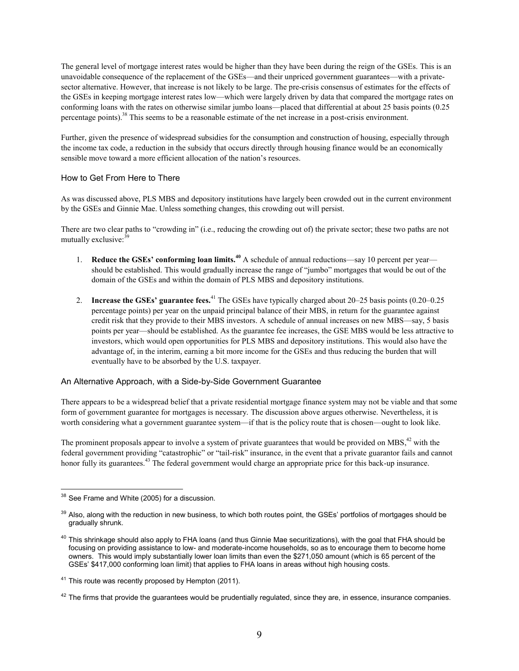The general level of mortgage interest rates would be higher than they have been during the reign of the GSEs. This is an unavoidable consequence of the replacement of the GSEs—and their unpriced government guarantees—with a privatesector alternative. However, that increase is not likely to be large. The pre-crisis consensus of estimates for the effects of the GSEs in keeping mortgage interest rates low—which were largely driven by data that compared the mortgage rates on conforming loans with the rates on otherwise similar jumbo loans—placed that differential at about 25 basis points (0.25 percentage points).<sup>38</sup> This seems to be a reasonable estimate of the net increase in a post-crisis environment.

Further, given the presence of widespread subsidies for the consumption and construction of housing, especially through the income tax code, a reduction in the subsidy that occurs directly through housing finance would be an economically sensible move toward a more efficient allocation of the nation's resources.

## How to Get From Here to There

As was discussed above, PLS MBS and depository institutions have largely been crowded out in the current environment by the GSEs and Ginnie Mae. Unless something changes, this crowding out will persist.

There are two clear paths to "crowding in" (i.e., reducing the crowding out of) the private sector; these two paths are not mutually exclusive: $39$ 

- 1. **Reduce the GSEs' conforming loan limits.<sup>40</sup>** A schedule of annual reductions—say 10 percent per year should be established. This would gradually increase the range of "jumbo" mortgages that would be out of the domain of the GSEs and within the domain of PLS MBS and depository institutions.
- 2. **Increase the GSEs' guarantee fees.**<sup>41</sup> The GSEs have typically charged about 20–25 basis points (0.20–0.25 percentage points) per year on the unpaid principal balance of their MBS, in return for the guarantee against credit risk that they provide to their MBS investors. A schedule of annual increases on new MBS—say, 5 basis points per year—should be established. As the guarantee fee increases, the GSE MBS would be less attractive to investors, which would open opportunities for PLS MBS and depository institutions. This would also have the advantage of, in the interim, earning a bit more income for the GSEs and thus reducing the burden that will eventually have to be absorbed by the U.S. taxpayer.

# An Alternative Approach, with a Side-by-Side Government Guarantee

There appears to be a widespread belief that a private residential mortgage finance system may not be viable and that some form of government guarantee for mortgages is necessary. The discussion above argues otherwise. Nevertheless, it is worth considering what a government guarantee system—if that is the policy route that is chosen—ought to look like.

The prominent proposals appear to involve a system of private guarantees that would be provided on MBS, $42$  with the federal government providing "catastrophic" or "tail-risk" insurance, in the event that a private guarantor fails and cannot honor fully its guarantees.<sup>43</sup> The federal government would charge an appropriate price for this back-up insurance.

 $\overline{a}$ <sup>38</sup> See Frame and White (2005) for a discussion.

 $39$  Also, along with the reduction in new business, to which both routes point, the GSEs' portfolios of mortgages should be gradually shrunk.

 $40$  This shrinkage should also apply to FHA loans (and thus Ginnie Mae securitizations), with the goal that FHA should be focusing on providing assistance to low- and moderate-income households, so as to encourage them to become home owners. This would imply substantially lower loan limits than even the \$271,050 amount (which is 65 percent of the GSEs' \$417,000 conforming loan limit) that applies to FHA loans in areas without high housing costs.

 $41$  This route was recently proposed by Hempton (2011).

 $42$  The firms that provide the quarantees would be prudentially requlated, since they are, in essence, insurance companies.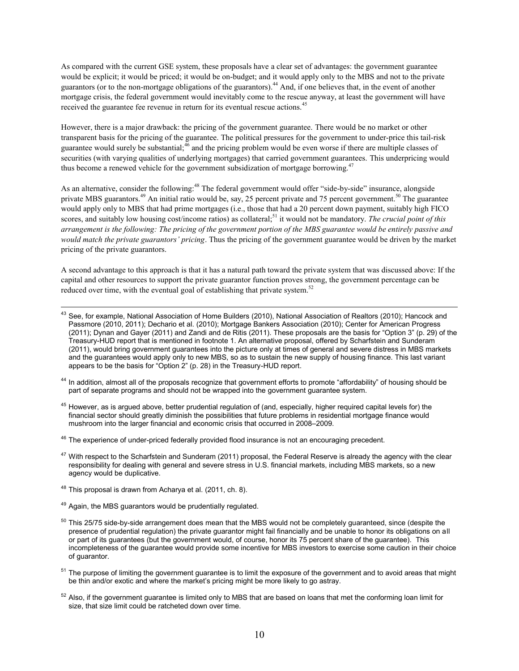As compared with the current GSE system, these proposals have a clear set of advantages: the government guarantee would be explicit; it would be priced; it would be on-budget; and it would apply only to the MBS and not to the private guarantors (or to the non-mortgage obligations of the guarantors).<sup>44</sup> And, if one believes that, in the event of another mortgage crisis, the federal government would inevitably come to the rescue anyway, at least the government will have received the guarantee fee revenue in return for its eventual rescue actions.<sup>45</sup>

However, there is a major drawback: the pricing of the government guarantee. There would be no market or other transparent basis for the pricing of the guarantee. The political pressures for the government to under-price this tail-risk guarantee would surely be substantial;<sup>46</sup> and the pricing problem would be even worse if there are multiple classes of securities (with varying qualities of underlying mortgages) that carried government guarantees. This underpricing would thus become a renewed vehicle for the government subsidization of mortgage borrowing.<sup>47</sup>

As an alternative, consider the following:<sup>48</sup> The federal government would offer "side-by-side" insurance, alongside private MBS guarantors.<sup>49</sup> An initial ratio would be, say, 25 percent private and 75 percent government.<sup>50</sup> The guarantee would apply only to MBS that had prime mortgages (i.e., those that had a 20 percent down payment, suitably high FICO scores, and suitably low housing cost/income ratios) as collateral;<sup>51</sup> it would not be mandatory. *The crucial point of this arrangement is the following: The pricing of the government portion of the MBS guarantee would be entirely passive and would match the private guarantors' pricing*. Thus the pricing of the government guarantee would be driven by the market pricing of the private guarantors.

A second advantage to this approach is that it has a natural path toward the private system that was discussed above: If the capital and other resources to support the private guarantor function proves strong, the government percentage can be reduced over time, with the eventual goal of establishing that private system.<sup>52</sup>

<sup>44</sup> In addition, almost all of the proposals recognize that government efforts to promote "affordability" of housing should be part of separate programs and should not be wrapped into the government guarantee system.

<sup>45</sup> However, as is argued above, better prudential regulation of (and, especially, higher required capital levels for) the financial sector should greatly diminish the possibilities that future problems in residential mortgage finance would mushroom into the larger financial and economic crisis that occurred in 2008–2009.

<sup>46</sup> The experience of under-priced federally provided flood insurance is not an encouraging precedent.

- $47$  With respect to the Scharfstein and Sunderam (2011) proposal, the Federal Reserve is already the agency with the clear responsibility for dealing with general and severe stress in U.S. financial markets, including MBS markets, so a new agency would be duplicative.
- <sup>48</sup> This proposal is drawn from Acharya et al. (2011, ch. 8).
- $49$  Again, the MBS guarantors would be prudentially regulated.
- $50$  This 25/75 side-by-side arrangement does mean that the MBS would not be completely guaranteed, since (despite the presence of prudential regulation) the private guarantor might fail financially and be unable to honor its obligations on all or part of its guarantees (but the government would, of course, honor its 75 percent share of the guarantee). This incompleteness of the guarantee would provide some incentive for MBS investors to exercise some caution in their choice of guarantor.
- $51$  The purpose of limiting the government guarantee is to limit the exposure of the government and to avoid areas that might be thin and/or exotic and where the market's pricing might be more likely to go astray.
- $52$  Also, if the government guarantee is limited only to MBS that are based on loans that met the conforming loan limit for size, that size limit could be ratcheted down over time.

 $\overline{a}$  $^{43}$  See, for example, National Association of Home Builders (2010), National Association of Realtors (2010); Hancock and Passmore (2010, 2011); Dechario et al. (2010); Mortgage Bankers Association (2010); Center for American Progress (2011); Dynan and Gayer (2011) and Zandi and de Ritis (2011). These proposals are the basis for "Option 3" (p. 29) of the Treasury-HUD report that is mentioned in footnote 1. An alternative proposal, offered by Scharfstein and Sunderam (2011), would bring government guarantees into the picture only at times of general and severe distress in MBS markets and the guarantees would apply only to new MBS, so as to sustain the new supply of housing finance. This last variant appears to be the basis for "Option 2" (p. 28) in the Treasury-HUD report.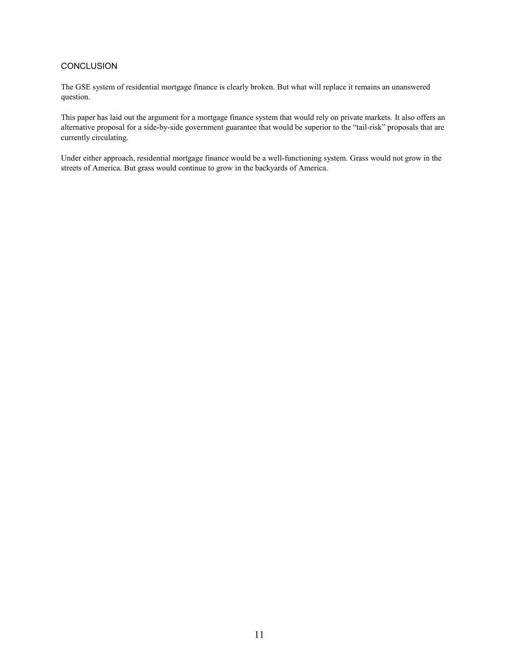# **CONCLUSION**

The GSE system of residential mortgage finance is clearly broken. But what will replace it remains an unanswered question.

This paper has laid out the argument for a mortgage finance system that would rely on private markets. It also offers an alternative proposal for a side-by-side government guarantee that would be superior to the "tail-risk" proposals that are currently circulating.

Under either approach, residential mortgage finance would be a well-functioning system. Grass would not grow in the streets of America. But grass would continue to grow in the backyards of America.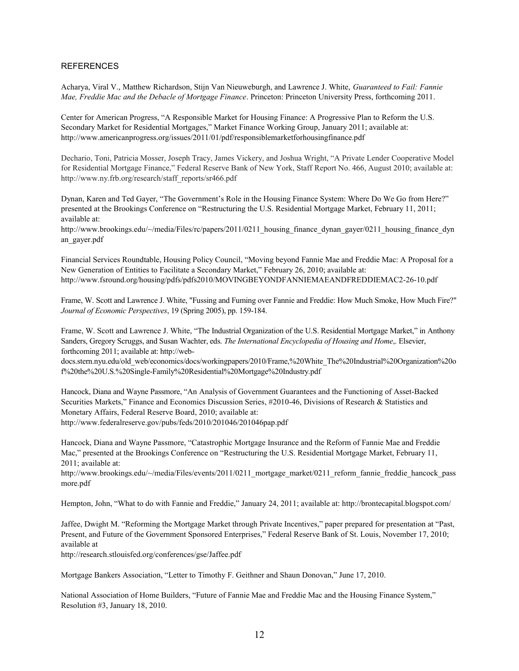## REFERENCES

Acharya, Viral V., Matthew Richardson, Stijn Van Nieuweburgh, and Lawrence J. White, *Guaranteed to Fail: Fannie Mae, Freddie Mac and the Debacle of Mortgage Finance*. Princeton: Princeton University Press, forthcoming 2011.

Center for American Progress, "A Responsible Market for Housing Finance: A Progressive Plan to Reform the U.S. Secondary Market for Residential Mortgages," Market Finance Working Group, January 2011; available at: http://www.americanprogress.org/issues/2011/01/pdf/responsiblemarketforhousingfinance.pdf

Dechario, Toni, Patricia Mosser, Joseph Tracy, James Vickery, and Joshua Wright, "A Private Lender Cooperative Model for Residential Mortgage Finance," Federal Reserve Bank of New York, Staff Report No. 466, August 2010; available at: http://www.ny.frb.org/research/staff\_reports/sr466.pdf

Dynan, Karen and Ted Gayer, "The Government's Role in the Housing Finance System: Where Do We Go from Here?" presented at the Brookings Conference on "Restructuring the U.S. Residential Mortgage Market, February 11, 2011; available at:

http://www.brookings.edu/~/media/Files/rc/papers/2011/0211 housing finance dynan\_gayer/0211\_housing\_finance\_dyn an\_gayer.pdf

Financial Services Roundtable, Housing Policy Council, "Moving beyond Fannie Mae and Freddie Mac: A Proposal for a New Generation of Entities to Facilitate a Secondary Market," February 26, 2010; available at: http://www.fsround.org/housing/pdfs/pdfs2010/MOVINGBEYONDFANNIEMAEANDFREDDIEMAC2-26-10.pdf

Frame, W. Scott and Lawrence J. White, "Fussing and Fuming over Fannie and Freddie: How Much Smoke, How Much Fire?" *Journal of Economic Perspectives*, 19 (Spring 2005), pp. 159-184.

Frame, W. Scott and Lawrence J. White, "The Industrial Organization of the U.S. Residential Mortgage Market," in Anthony Sanders, Gregory Scruggs, and Susan Wachter, eds. *The International Encyclopedia of Housing and Home*,. Elsevier, forthcoming 2011; available at: http://web-

docs.stern.nyu.edu/old\_web/economics/docs/workingpapers/2010/Frame,%20White\_The%20Industrial%20Organization%20o f%20the%20U.S.%20Single-Family%20Residential%20Mortgage%20Industry.pdf

Hancock, Diana and Wayne Passmore, "An Analysis of Government Guarantees and the Functioning of Asset-Backed Securities Markets," Finance and Economics Discussion Series, #2010-46, Divisions of Research & Statistics and Monetary Affairs, Federal Reserve Board, 2010; available at: http://www.federalreserve.gov/pubs/feds/2010/201046/201046pap.pdf

Hancock, Diana and Wayne Passmore, "Catastrophic Mortgage Insurance and the Reform of Fannie Mae and Freddie Mac," presented at the Brookings Conference on "Restructuring the U.S. Residential Mortgage Market, February 11, 2011; available at:

http://www.brookings.edu/~/media/Files/events/2011/0211\_mortgage\_market/0211\_reform\_fannie\_freddie\_hancock\_pass more.pdf

Hempton, John, "What to do with Fannie and Freddie," January 24, 2011; available at: http://brontecapital.blogspot.com/

Jaffee, Dwight M. "Reforming the Mortgage Market through Private Incentives," paper prepared for presentation at "Past, Present, and Future of the Government Sponsored Enterprises," Federal Reserve Bank of St. Louis, November 17, 2010; available at

http://research.stlouisfed.org/conferences/gse/Jaffee.pdf

Mortgage Bankers Association, "Letter to Timothy F. Geithner and Shaun Donovan," June 17, 2010.

National Association of Home Builders, "Future of Fannie Mae and Freddie Mac and the Housing Finance System," Resolution #3, January 18, 2010.